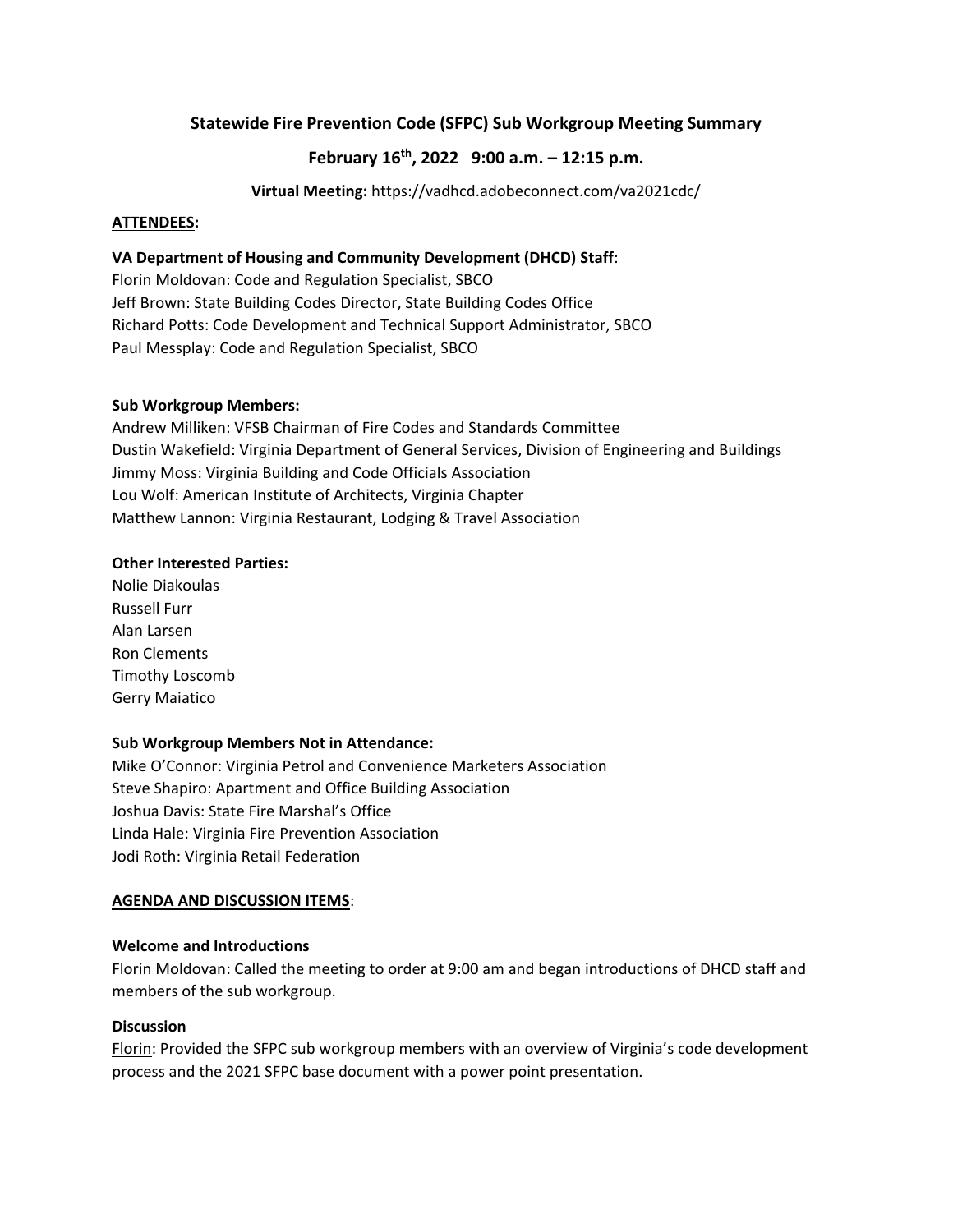# **Statewide Fire Prevention Code (SFPC) Sub Workgroup Meeting Summary**

# **February 16th, 2022 9:00 a.m. – 12:15 p.m.**

**Virtual Meeting:** https://vadhcd.adobeconnect.com/va2021cdc/

### **ATTENDEES:**

## **VA Department of Housing and Community Development (DHCD) Staff**:

Florin Moldovan: Code and Regulation Specialist, SBCO Jeff Brown: State Building Codes Director, State Building Codes Office Richard Potts: Code Development and Technical Support Administrator, SBCO Paul Messplay: Code and Regulation Specialist, SBCO

### **Sub Workgroup Members:**

Andrew Milliken: VFSB Chairman of Fire Codes and Standards Committee Dustin Wakefield: Virginia Department of General Services, Division of Engineering and Buildings Jimmy Moss: Virginia Building and Code Officials Association Lou Wolf: American Institute of Architects, Virginia Chapter Matthew Lannon: Virginia Restaurant, Lodging & Travel Association

### **Other Interested Parties:**

Nolie Diakoulas Russell Furr Alan Larsen Ron Clements Timothy Loscomb Gerry Maiatico

## **Sub Workgroup Members Not in Attendance:**

Mike O'Connor: Virginia Petrol and Convenience Marketers Association Steve Shapiro: Apartment and Office Building Association Joshua Davis: State Fire Marshal's Office Linda Hale: Virginia Fire Prevention Association Jodi Roth: Virginia Retail Federation

## **AGENDA AND DISCUSSION ITEMS**:

## **Welcome and Introductions**

Florin Moldovan: Called the meeting to order at 9:00 am and began introductions of DHCD staff and members of the sub workgroup.

## **Discussion**

Florin: Provided the SFPC sub workgroup members with an overview of Virginia's code development process and the 2021 SFPC base document with a power point presentation.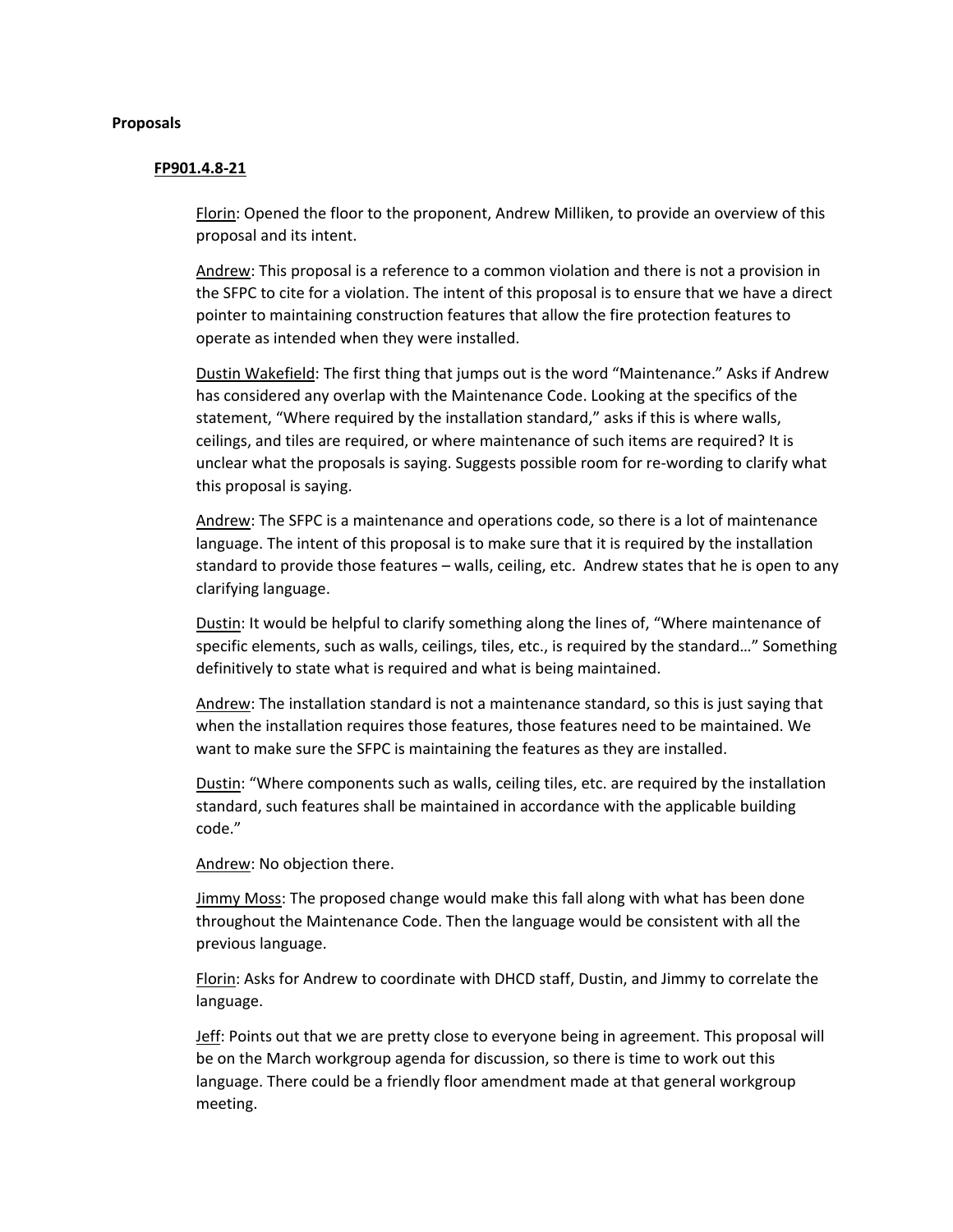#### **Proposals**

#### **FP901.4.8-21**

Florin: Opened the floor to the proponent, Andrew Milliken, to provide an overview of this proposal and its intent.

Andrew: This proposal is a reference to a common violation and there is not a provision in the SFPC to cite for a violation. The intent of this proposal is to ensure that we have a direct pointer to maintaining construction features that allow the fire protection features to operate as intended when they were installed.

Dustin Wakefield: The first thing that jumps out is the word "Maintenance." Asks if Andrew has considered any overlap with the Maintenance Code. Looking at the specifics of the statement, "Where required by the installation standard," asks if this is where walls, ceilings, and tiles are required, or where maintenance of such items are required? It is unclear what the proposals is saying. Suggests possible room for re-wording to clarify what this proposal is saying.

Andrew: The SFPC is a maintenance and operations code, so there is a lot of maintenance language. The intent of this proposal is to make sure that it is required by the installation standard to provide those features – walls, ceiling, etc. Andrew states that he is open to any clarifying language.

Dustin: It would be helpful to clarify something along the lines of, "Where maintenance of specific elements, such as walls, ceilings, tiles, etc., is required by the standard…" Something definitively to state what is required and what is being maintained.

Andrew: The installation standard is not a maintenance standard, so this is just saying that when the installation requires those features, those features need to be maintained. We want to make sure the SFPC is maintaining the features as they are installed.

Dustin: "Where components such as walls, ceiling tiles, etc. are required by the installation standard, such features shall be maintained in accordance with the applicable building code."

Andrew: No objection there.

Jimmy Moss: The proposed change would make this fall along with what has been done throughout the Maintenance Code. Then the language would be consistent with all the previous language.

Florin: Asks for Andrew to coordinate with DHCD staff, Dustin, and Jimmy to correlate the language.

Jeff: Points out that we are pretty close to everyone being in agreement. This proposal will be on the March workgroup agenda for discussion, so there is time to work out this language. There could be a friendly floor amendment made at that general workgroup meeting.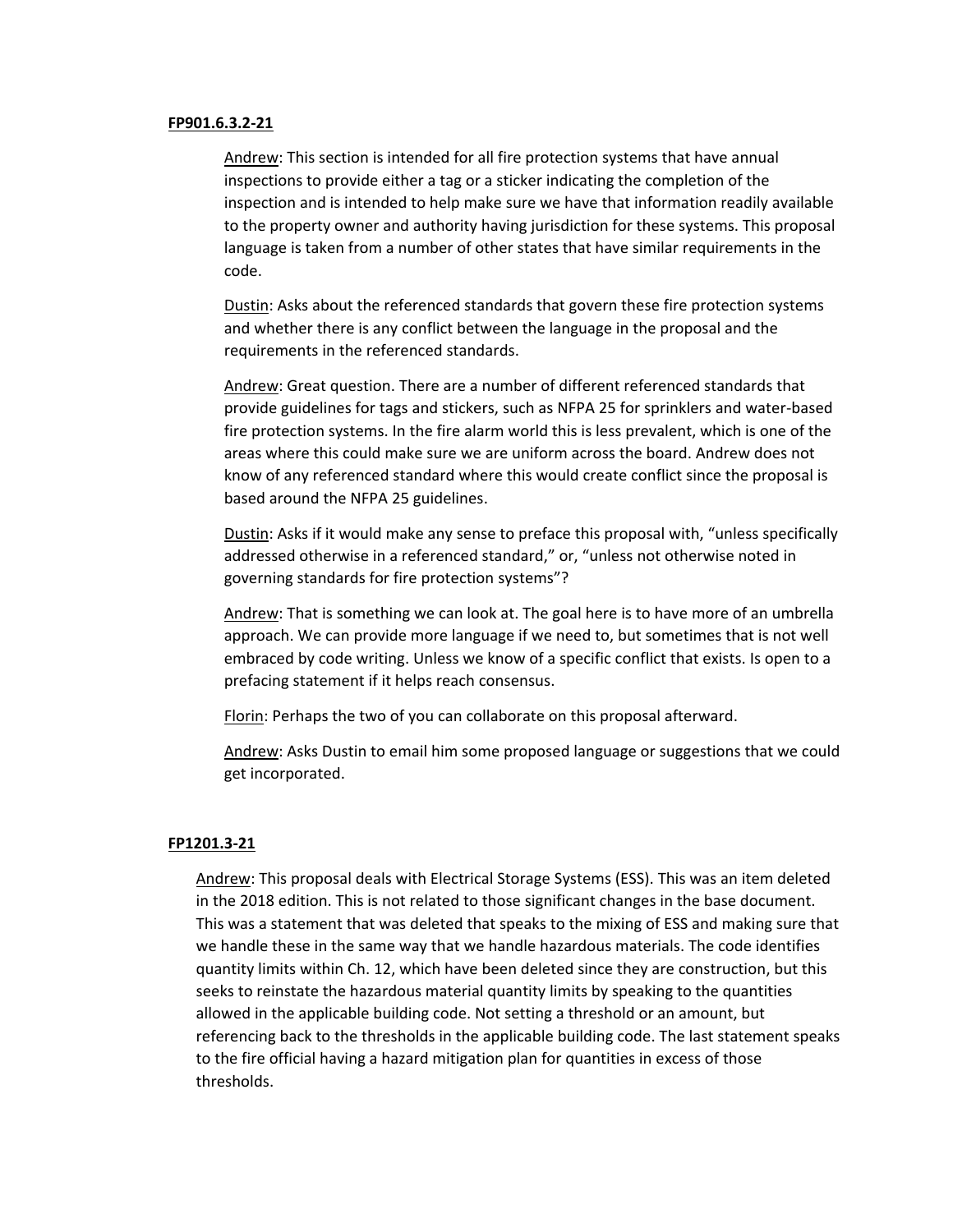#### **FP901.6.3.2-21**

Andrew: This section is intended for all fire protection systems that have annual inspections to provide either a tag or a sticker indicating the completion of the inspection and is intended to help make sure we have that information readily available to the property owner and authority having jurisdiction for these systems. This proposal language is taken from a number of other states that have similar requirements in the code.

Dustin: Asks about the referenced standards that govern these fire protection systems and whether there is any conflict between the language in the proposal and the requirements in the referenced standards.

Andrew: Great question. There are a number of different referenced standards that provide guidelines for tags and stickers, such as NFPA 25 for sprinklers and water-based fire protection systems. In the fire alarm world this is less prevalent, which is one of the areas where this could make sure we are uniform across the board. Andrew does not know of any referenced standard where this would create conflict since the proposal is based around the NFPA 25 guidelines.

Dustin: Asks if it would make any sense to preface this proposal with, "unless specifically addressed otherwise in a referenced standard," or, "unless not otherwise noted in governing standards for fire protection systems"?

Andrew: That is something we can look at. The goal here is to have more of an umbrella approach. We can provide more language if we need to, but sometimes that is not well embraced by code writing. Unless we know of a specific conflict that exists. Is open to a prefacing statement if it helps reach consensus.

Florin: Perhaps the two of you can collaborate on this proposal afterward.

Andrew: Asks Dustin to email him some proposed language or suggestions that we could get incorporated.

### **FP1201.3-21**

Andrew: This proposal deals with Electrical Storage Systems (ESS). This was an item deleted in the 2018 edition. This is not related to those significant changes in the base document. This was a statement that was deleted that speaks to the mixing of ESS and making sure that we handle these in the same way that we handle hazardous materials. The code identifies quantity limits within Ch. 12, which have been deleted since they are construction, but this seeks to reinstate the hazardous material quantity limits by speaking to the quantities allowed in the applicable building code. Not setting a threshold or an amount, but referencing back to the thresholds in the applicable building code. The last statement speaks to the fire official having a hazard mitigation plan for quantities in excess of those thresholds.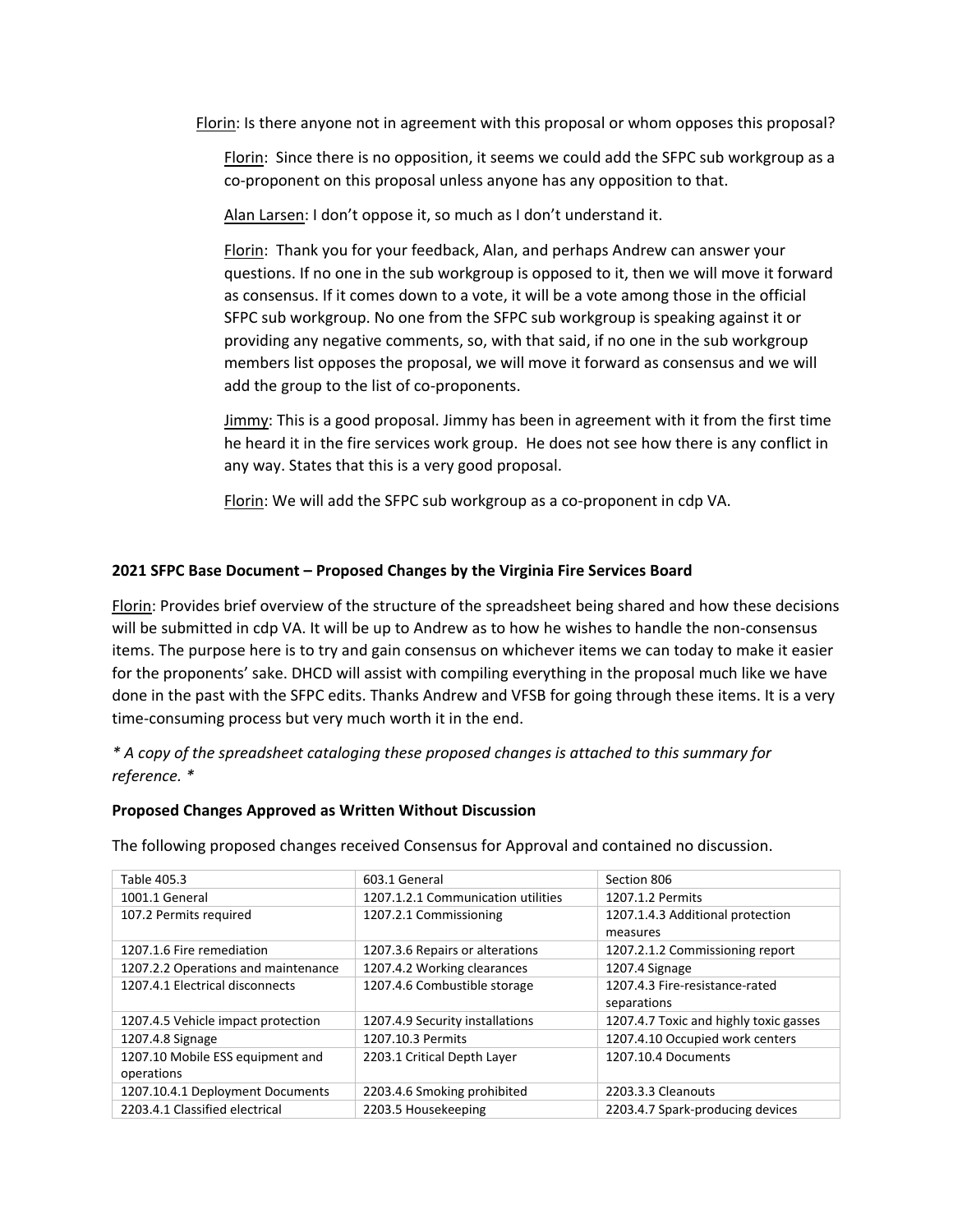Florin: Is there anyone not in agreement with this proposal or whom opposes this proposal?

Florin: Since there is no opposition, it seems we could add the SFPC sub workgroup as a co-proponent on this proposal unless anyone has any opposition to that.

Alan Larsen: I don't oppose it, so much as I don't understand it.

Florin: Thank you for your feedback, Alan, and perhaps Andrew can answer your questions. If no one in the sub workgroup is opposed to it, then we will move it forward as consensus. If it comes down to a vote, it will be a vote among those in the official SFPC sub workgroup. No one from the SFPC sub workgroup is speaking against it or providing any negative comments, so, with that said, if no one in the sub workgroup members list opposes the proposal, we will move it forward as consensus and we will add the group to the list of co-proponents.

Jimmy: This is a good proposal. Jimmy has been in agreement with it from the first time he heard it in the fire services work group. He does not see how there is any conflict in any way. States that this is a very good proposal.

Florin: We will add the SFPC sub workgroup as a co-proponent in cdp VA.

## **2021 SFPC Base Document – Proposed Changes by the Virginia Fire Services Board**

Florin: Provides brief overview of the structure of the spreadsheet being shared and how these decisions will be submitted in cdp VA. It will be up to Andrew as to how he wishes to handle the non-consensus items. The purpose here is to try and gain consensus on whichever items we can today to make it easier for the proponents' sake. DHCD will assist with compiling everything in the proposal much like we have done in the past with the SFPC edits. Thanks Andrew and VFSB for going through these items. It is a very time-consuming process but very much worth it in the end.

*\* A copy of the spreadsheet cataloging these proposed changes is attached to this summary for reference. \**

## **Proposed Changes Approved as Written Without Discussion**

The following proposed changes received Consensus for Approval and contained no discussion.

| Table 405.3                         | 603.1 General                      | Section 806                                  |
|-------------------------------------|------------------------------------|----------------------------------------------|
| 1001.1 General                      | 1207.1.2.1 Communication utilities | 1207.1.2 Permits                             |
| 107.2 Permits required              | 1207.2.1 Commissioning             | 1207.1.4.3 Additional protection<br>measures |
| 1207.1.6 Fire remediation           | 1207.3.6 Repairs or alterations    | 1207.2.1.2 Commissioning report              |
| 1207.2.2 Operations and maintenance | 1207.4.2 Working clearances        | 1207.4 Signage                               |
| 1207.4.1 Electrical disconnects     | 1207.4.6 Combustible storage       | 1207.4.3 Fire-resistance-rated               |
|                                     |                                    | separations                                  |
| 1207.4.5 Vehicle impact protection  | 1207.4.9 Security installations    | 1207.4.7 Toxic and highly toxic gasses       |
| 1207.4.8 Signage                    | 1207.10.3 Permits                  | 1207.4.10 Occupied work centers              |
| 1207.10 Mobile ESS equipment and    | 2203.1 Critical Depth Layer        | 1207.10.4 Documents                          |
| operations                          |                                    |                                              |
| 1207.10.4.1 Deployment Documents    | 2203.4.6 Smoking prohibited        | 2203.3.3 Cleanouts                           |
| 2203.4.1 Classified electrical      | 2203.5 Housekeeping                | 2203.4.7 Spark-producing devices             |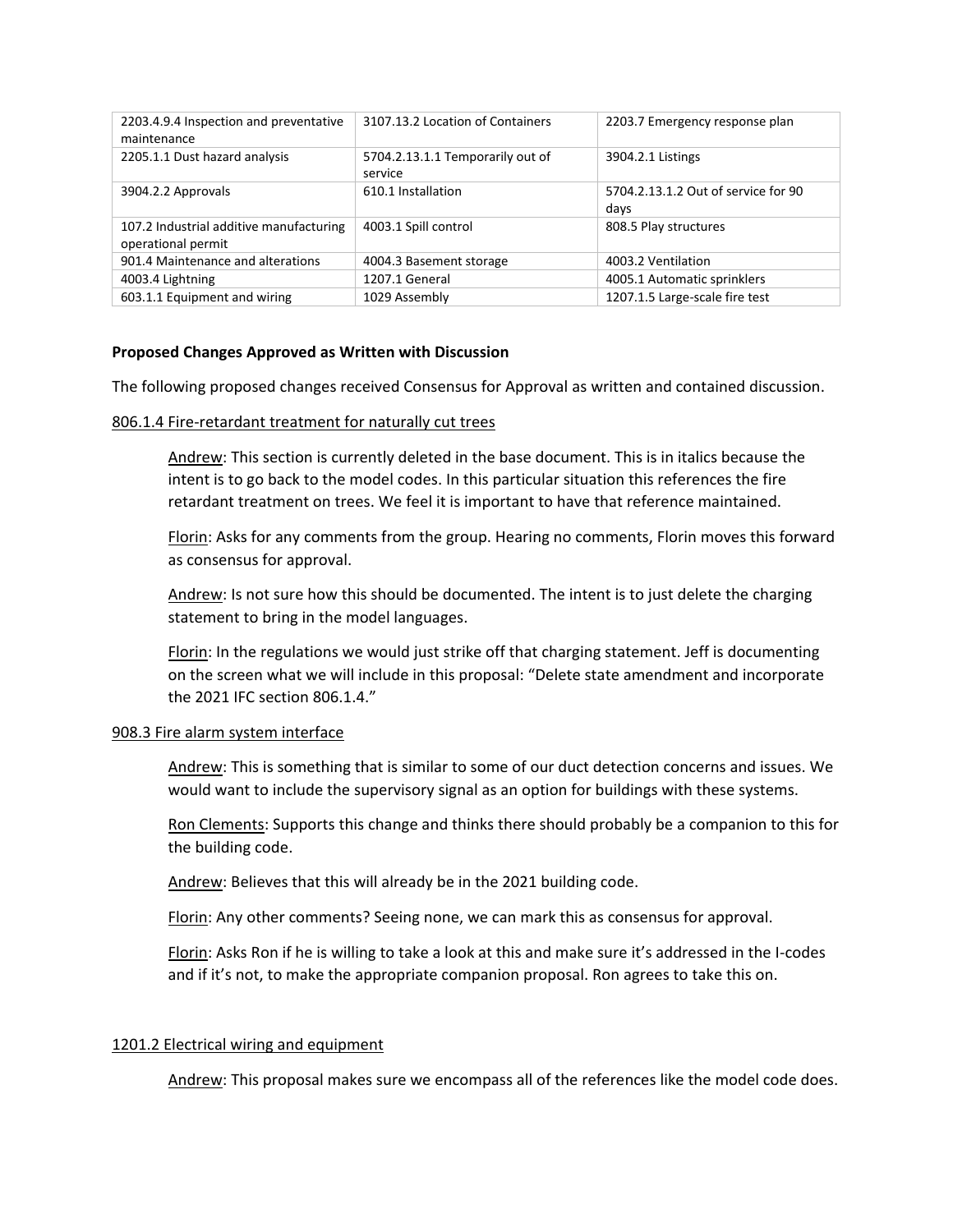| 2203.4.9.4 Inspection and preventative<br>maintenance         | 3107.13.2 Location of Containers            | 2203.7 Emergency response plan              |
|---------------------------------------------------------------|---------------------------------------------|---------------------------------------------|
| 2205.1.1 Dust hazard analysis                                 | 5704.2.13.1.1 Temporarily out of<br>service | 3904.2.1 Listings                           |
| 3904.2.2 Approvals                                            | 610.1 Installation                          | 5704.2.13.1.2 Out of service for 90<br>days |
| 107.2 Industrial additive manufacturing<br>operational permit | 4003.1 Spill control                        | 808.5 Play structures                       |
| 901.4 Maintenance and alterations                             | 4004.3 Basement storage                     | 4003.2 Ventilation                          |
| 4003.4 Lightning                                              | 1207.1 General                              | 4005.1 Automatic sprinklers                 |
| 603.1.1 Equipment and wiring                                  | 1029 Assembly                               | 1207.1.5 Large-scale fire test              |

### **Proposed Changes Approved as Written with Discussion**

The following proposed changes received Consensus for Approval as written and contained discussion.

#### 806.1.4 Fire-retardant treatment for naturally cut trees

Andrew: This section is currently deleted in the base document. This is in italics because the intent is to go back to the model codes. In this particular situation this references the fire retardant treatment on trees. We feel it is important to have that reference maintained.

Florin: Asks for any comments from the group. Hearing no comments, Florin moves this forward as consensus for approval.

Andrew: Is not sure how this should be documented. The intent is to just delete the charging statement to bring in the model languages.

Florin: In the regulations we would just strike off that charging statement. Jeff is documenting on the screen what we will include in this proposal: "Delete state amendment and incorporate the 2021 IFC section 806.1.4."

### 908.3 Fire alarm system interface

Andrew: This is something that is similar to some of our duct detection concerns and issues. We would want to include the supervisory signal as an option for buildings with these systems.

Ron Clements: Supports this change and thinks there should probably be a companion to this for the building code.

Andrew: Believes that this will already be in the 2021 building code.

Florin: Any other comments? Seeing none, we can mark this as consensus for approval.

Florin: Asks Ron if he is willing to take a look at this and make sure it's addressed in the I-codes and if it's not, to make the appropriate companion proposal. Ron agrees to take this on.

### 1201.2 Electrical wiring and equipment

Andrew: This proposal makes sure we encompass all of the references like the model code does.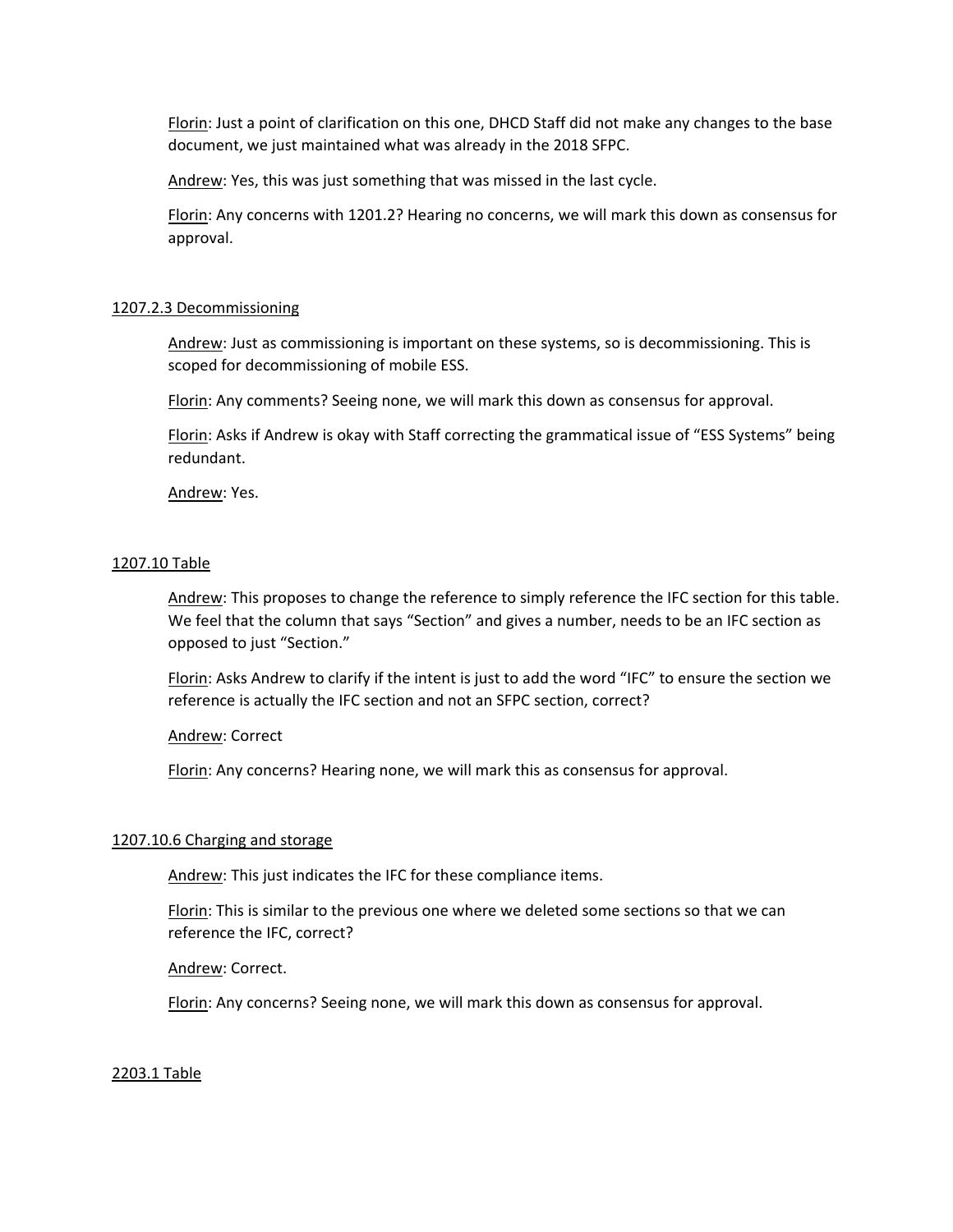Florin: Just a point of clarification on this one, DHCD Staff did not make any changes to the base document, we just maintained what was already in the 2018 SFPC.

Andrew: Yes, this was just something that was missed in the last cycle.

Florin: Any concerns with 1201.2? Hearing no concerns, we will mark this down as consensus for approval.

#### 1207.2.3 Decommissioning

Andrew: Just as commissioning is important on these systems, so is decommissioning. This is scoped for decommissioning of mobile ESS.

Florin: Any comments? Seeing none, we will mark this down as consensus for approval.

Florin: Asks if Andrew is okay with Staff correcting the grammatical issue of "ESS Systems" being redundant.

Andrew: Yes.

### 1207.10 Table

Andrew: This proposes to change the reference to simply reference the IFC section for this table. We feel that the column that says "Section" and gives a number, needs to be an IFC section as opposed to just "Section."

Florin: Asks Andrew to clarify if the intent is just to add the word "IFC" to ensure the section we reference is actually the IFC section and not an SFPC section, correct?

Andrew: Correct

Florin: Any concerns? Hearing none, we will mark this as consensus for approval.

#### 1207.10.6 Charging and storage

Andrew: This just indicates the IFC for these compliance items.

Florin: This is similar to the previous one where we deleted some sections so that we can reference the IFC, correct?

Andrew: Correct.

Florin: Any concerns? Seeing none, we will mark this down as consensus for approval.

#### 2203.1 Table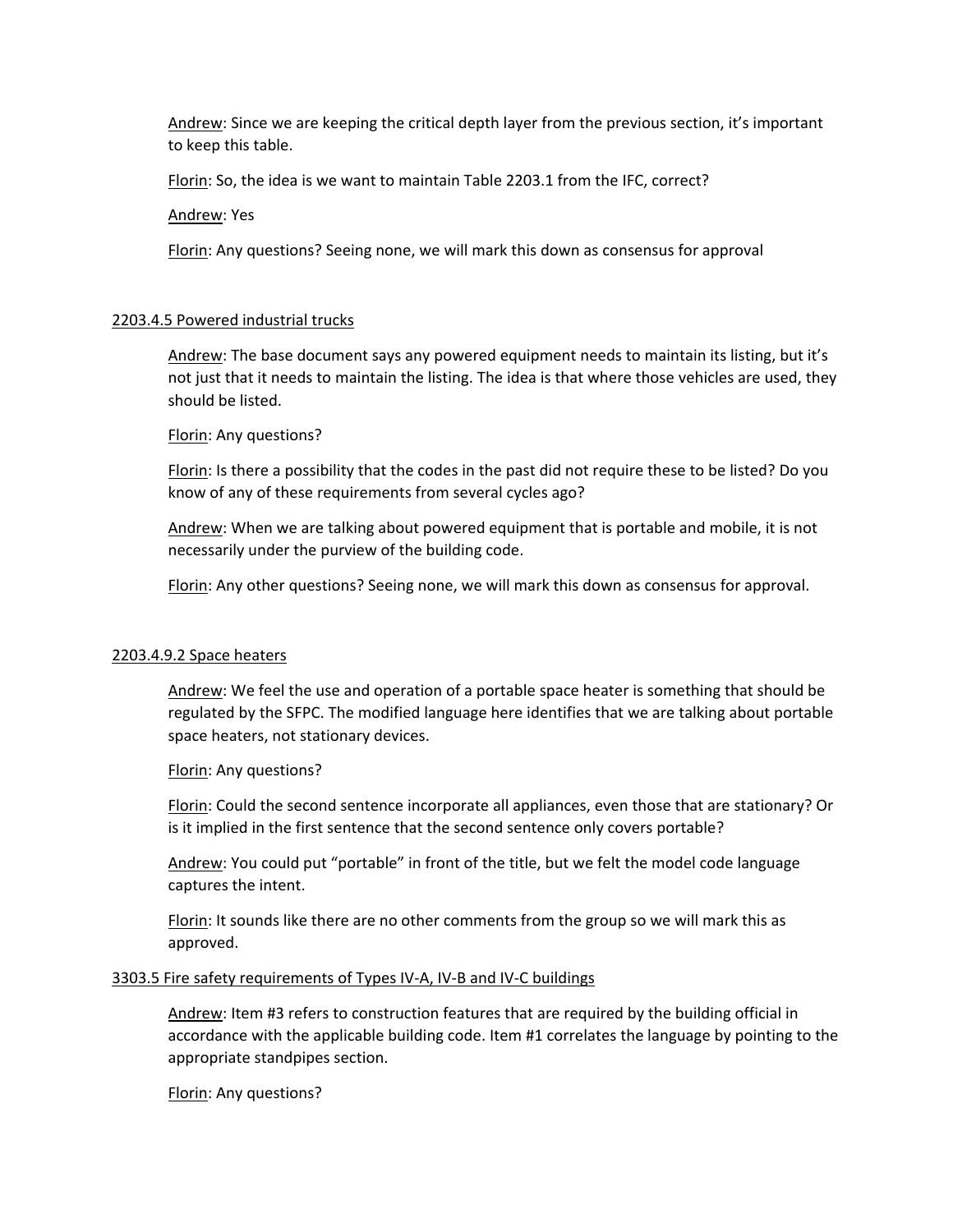Andrew: Since we are keeping the critical depth layer from the previous section, it's important to keep this table.

Florin: So, the idea is we want to maintain Table 2203.1 from the IFC, correct?

Andrew: Yes

Florin: Any questions? Seeing none, we will mark this down as consensus for approval

#### 2203.4.5 Powered industrial trucks

Andrew: The base document says any powered equipment needs to maintain its listing, but it's not just that it needs to maintain the listing. The idea is that where those vehicles are used, they should be listed.

Florin: Any questions?

Florin: Is there a possibility that the codes in the past did not require these to be listed? Do you know of any of these requirements from several cycles ago?

Andrew: When we are talking about powered equipment that is portable and mobile, it is not necessarily under the purview of the building code.

Florin: Any other questions? Seeing none, we will mark this down as consensus for approval.

#### 2203.4.9.2 Space heaters

Andrew: We feel the use and operation of a portable space heater is something that should be regulated by the SFPC. The modified language here identifies that we are talking about portable space heaters, not stationary devices.

Florin: Any questions?

Florin: Could the second sentence incorporate all appliances, even those that are stationary? Or is it implied in the first sentence that the second sentence only covers portable?

Andrew: You could put "portable" in front of the title, but we felt the model code language captures the intent.

Florin: It sounds like there are no other comments from the group so we will mark this as approved.

#### 3303.5 Fire safety requirements of Types IV-A, IV-B and IV-C buildings

Andrew: Item #3 refers to construction features that are required by the building official in accordance with the applicable building code. Item #1 correlates the language by pointing to the appropriate standpipes section.

Florin: Any questions?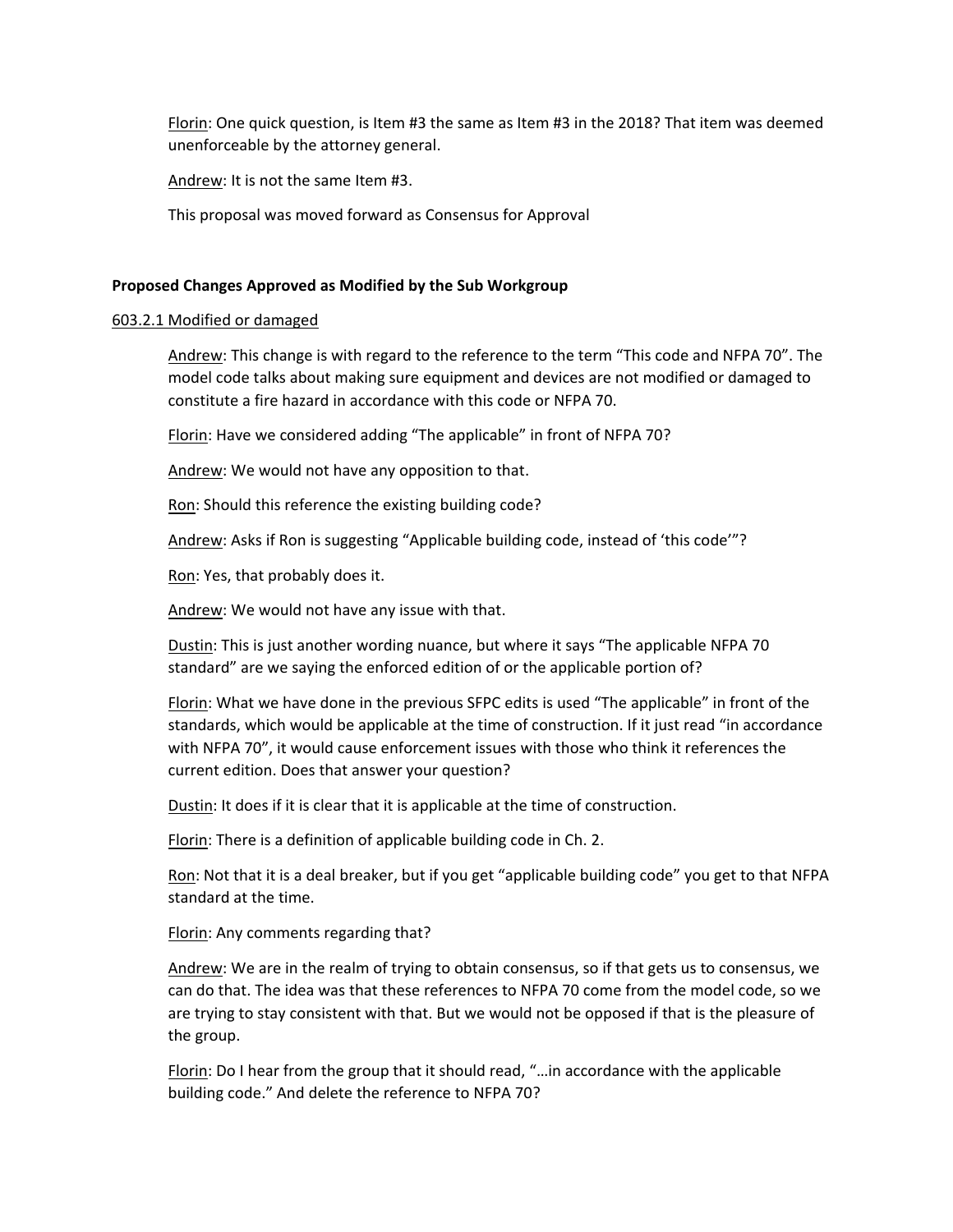Florin: One quick question, is Item #3 the same as Item #3 in the 2018? That item was deemed unenforceable by the attorney general.

Andrew: It is not the same Item #3.

This proposal was moved forward as Consensus for Approval

### **Proposed Changes Approved as Modified by the Sub Workgroup**

### 603.2.1 Modified or damaged

Andrew: This change is with regard to the reference to the term "This code and NFPA 70". The model code talks about making sure equipment and devices are not modified or damaged to constitute a fire hazard in accordance with this code or NFPA 70.

Florin: Have we considered adding "The applicable" in front of NFPA 70?

Andrew: We would not have any opposition to that.

Ron: Should this reference the existing building code?

Andrew: Asks if Ron is suggesting "Applicable building code, instead of 'this code'"?

Ron: Yes, that probably does it.

Andrew: We would not have any issue with that.

Dustin: This is just another wording nuance, but where it says "The applicable NFPA 70 standard" are we saying the enforced edition of or the applicable portion of?

Florin: What we have done in the previous SFPC edits is used "The applicable" in front of the standards, which would be applicable at the time of construction. If it just read "in accordance with NFPA 70", it would cause enforcement issues with those who think it references the current edition. Does that answer your question?

Dustin: It does if it is clear that it is applicable at the time of construction.

Florin: There is a definition of applicable building code in Ch. 2.

Ron: Not that it is a deal breaker, but if you get "applicable building code" you get to that NFPA standard at the time.

Florin: Any comments regarding that?

Andrew: We are in the realm of trying to obtain consensus, so if that gets us to consensus, we can do that. The idea was that these references to NFPA 70 come from the model code, so we are trying to stay consistent with that. But we would not be opposed if that is the pleasure of the group.

Florin: Do I hear from the group that it should read, "…in accordance with the applicable building code." And delete the reference to NFPA 70?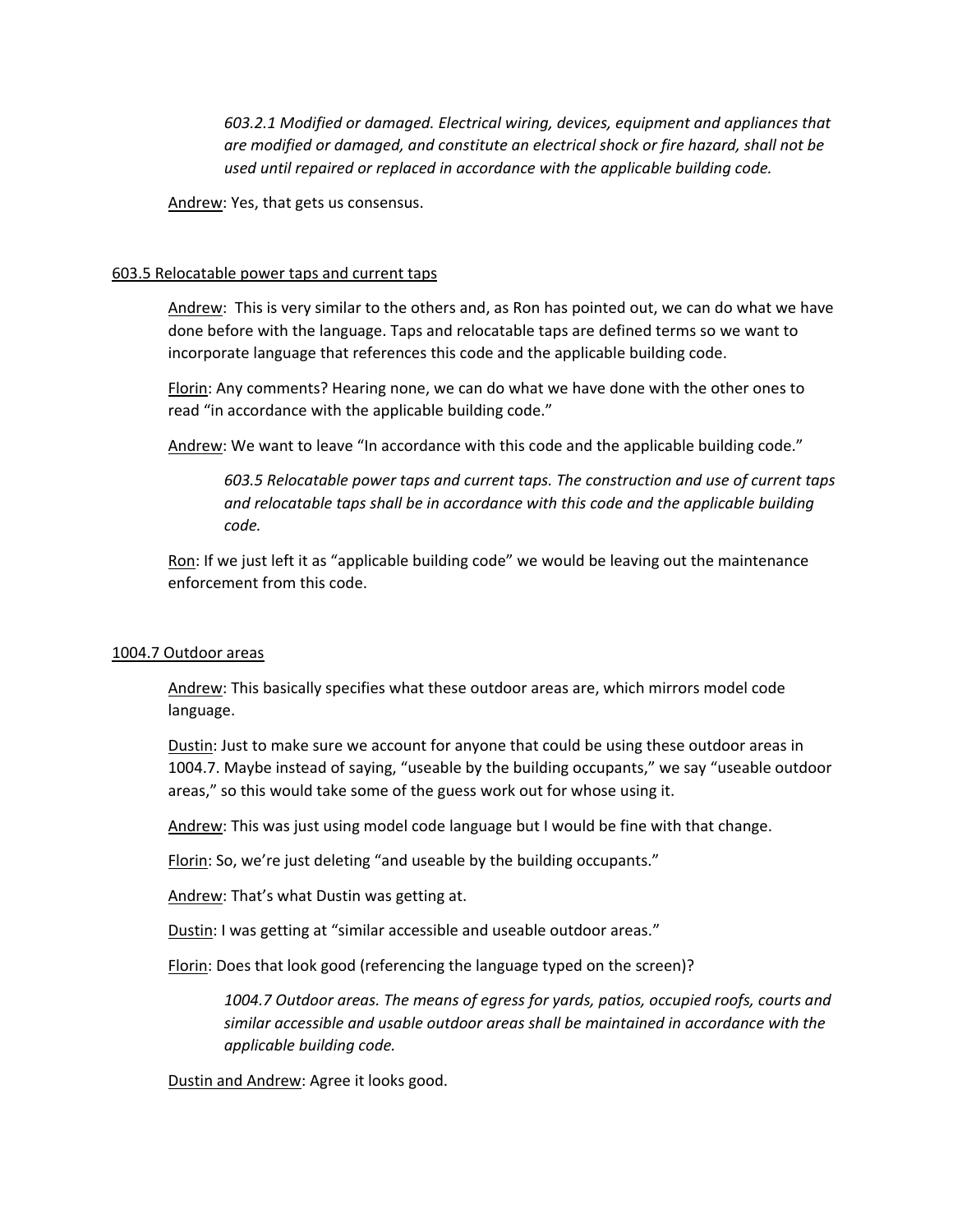*603.2.1 Modified or damaged. Electrical wiring, devices, equipment and appliances that are modified or damaged, and constitute an electrical shock or fire hazard, shall not be used until repaired or replaced in accordance with the applicable building code.*

Andrew: Yes, that gets us consensus.

### 603.5 Relocatable power taps and current taps

Andrew: This is very similar to the others and, as Ron has pointed out, we can do what we have done before with the language. Taps and relocatable taps are defined terms so we want to incorporate language that references this code and the applicable building code.

Florin: Any comments? Hearing none, we can do what we have done with the other ones to read "in accordance with the applicable building code."

Andrew: We want to leave "In accordance with this code and the applicable building code."

*603.5 Relocatable power taps and current taps. The construction and use of current taps and relocatable taps shall be in accordance with this code and the applicable building code.*

Ron: If we just left it as "applicable building code" we would be leaving out the maintenance enforcement from this code.

### 1004.7 Outdoor areas

Andrew: This basically specifies what these outdoor areas are, which mirrors model code language.

Dustin: Just to make sure we account for anyone that could be using these outdoor areas in 1004.7. Maybe instead of saying, "useable by the building occupants," we say "useable outdoor areas," so this would take some of the guess work out for whose using it.

Andrew: This was just using model code language but I would be fine with that change.

Florin: So, we're just deleting "and useable by the building occupants."

Andrew: That's what Dustin was getting at.

Dustin: I was getting at "similar accessible and useable outdoor areas."

Florin: Does that look good (referencing the language typed on the screen)?

*1004.7 Outdoor areas. The means of egress for yards, patios, occupied roofs, courts and similar accessible and usable outdoor areas shall be maintained in accordance with the applicable building code.*

Dustin and Andrew: Agree it looks good.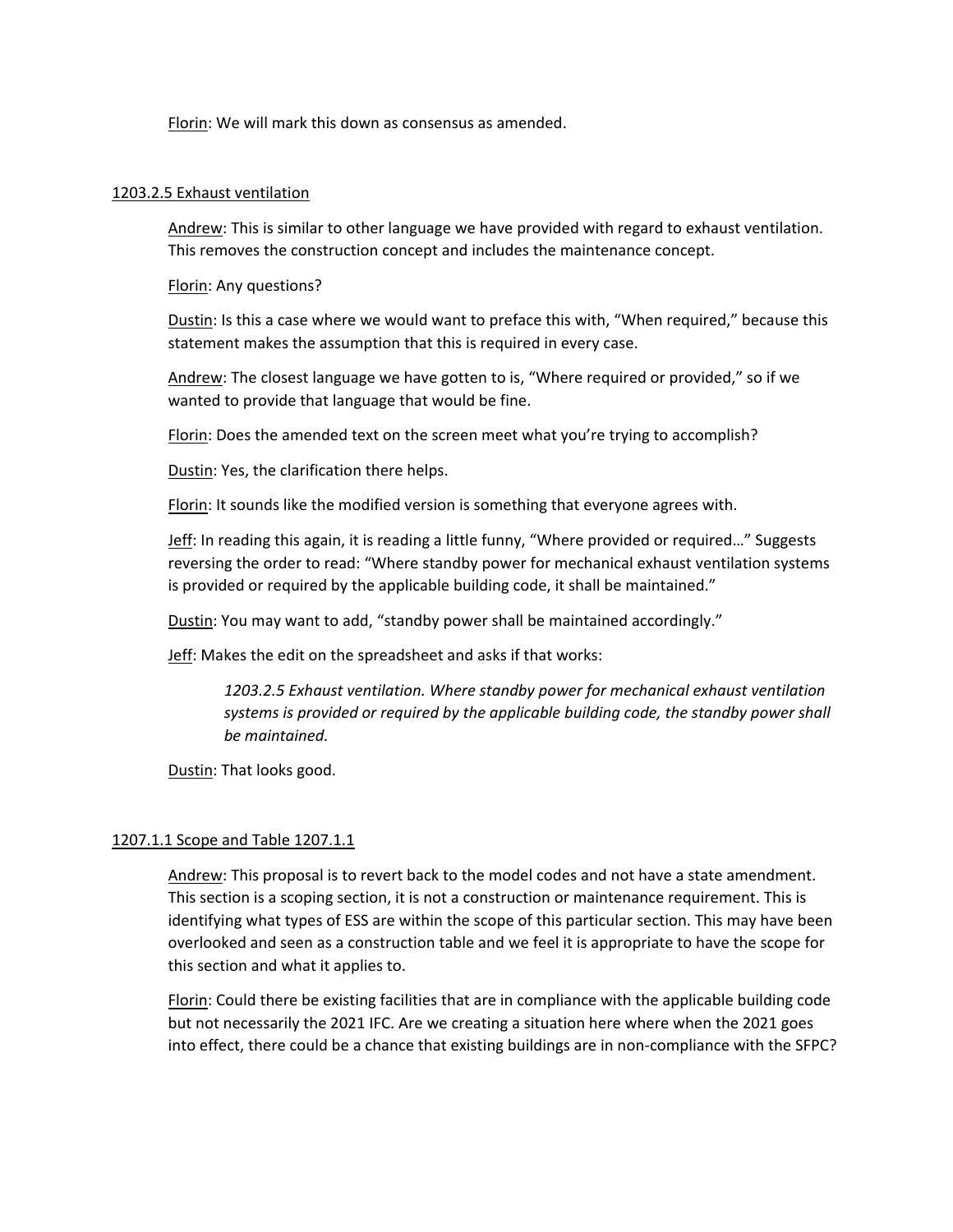Florin: We will mark this down as consensus as amended.

### 1203.2.5 Exhaust ventilation

Andrew: This is similar to other language we have provided with regard to exhaust ventilation. This removes the construction concept and includes the maintenance concept.

Florin: Any questions?

Dustin: Is this a case where we would want to preface this with, "When required," because this statement makes the assumption that this is required in every case.

Andrew: The closest language we have gotten to is, "Where required or provided," so if we wanted to provide that language that would be fine.

Florin: Does the amended text on the screen meet what you're trying to accomplish?

Dustin: Yes, the clarification there helps.

Florin: It sounds like the modified version is something that everyone agrees with.

Jeff: In reading this again, it is reading a little funny, "Where provided or required…" Suggests reversing the order to read: "Where standby power for mechanical exhaust ventilation systems is provided or required by the applicable building code, it shall be maintained."

Dustin: You may want to add, "standby power shall be maintained accordingly."

Jeff: Makes the edit on the spreadsheet and asks if that works:

*1203.2.5 Exhaust ventilation. Where standby power for mechanical exhaust ventilation systems is provided or required by the applicable building code, the standby power shall be maintained.*

Dustin: That looks good.

## 1207.1.1 Scope and Table 1207.1.1

Andrew: This proposal is to revert back to the model codes and not have a state amendment. This section is a scoping section, it is not a construction or maintenance requirement. This is identifying what types of ESS are within the scope of this particular section. This may have been overlooked and seen as a construction table and we feel it is appropriate to have the scope for this section and what it applies to.

Florin: Could there be existing facilities that are in compliance with the applicable building code but not necessarily the 2021 IFC. Are we creating a situation here where when the 2021 goes into effect, there could be a chance that existing buildings are in non-compliance with the SFPC?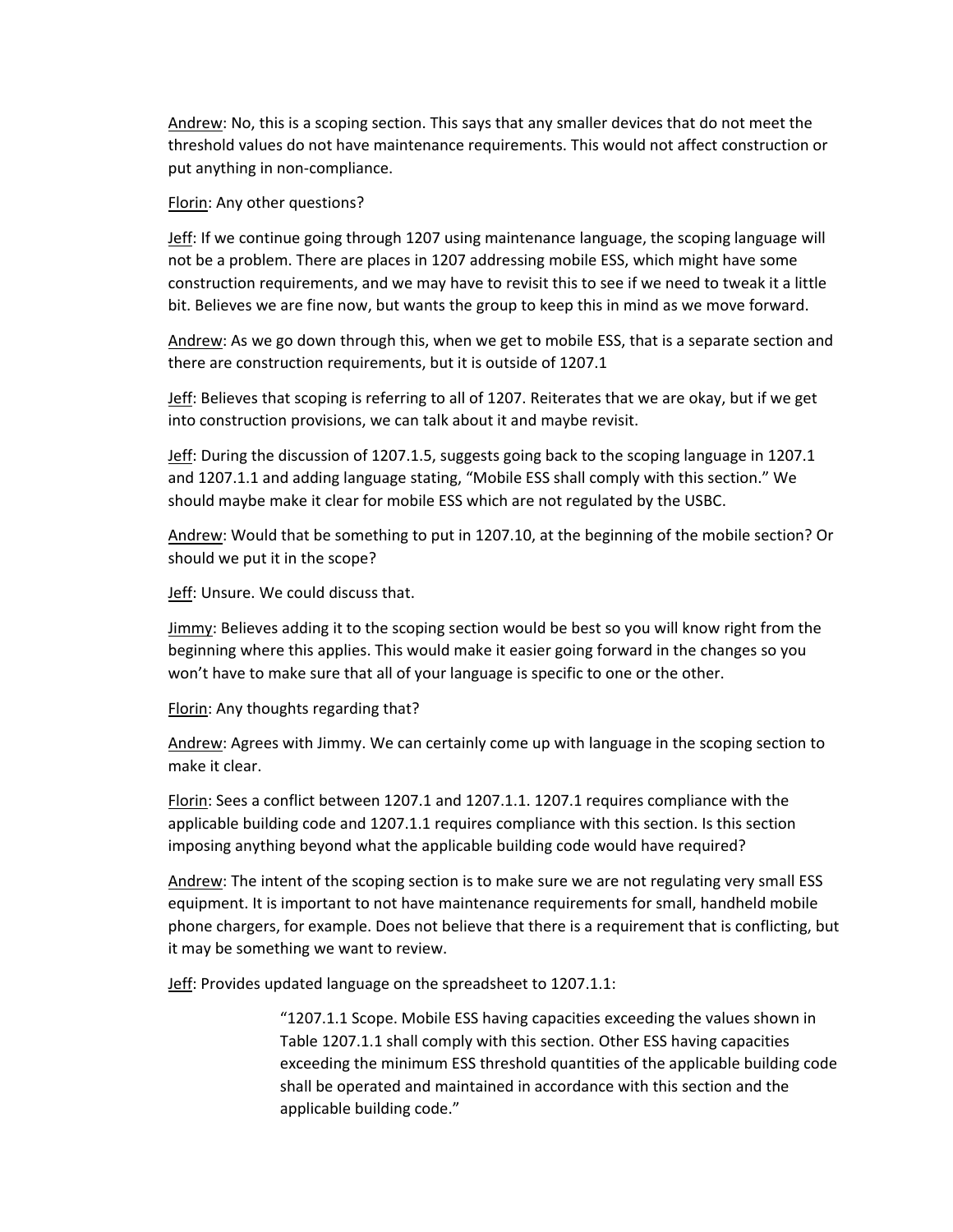Andrew: No, this is a scoping section. This says that any smaller devices that do not meet the threshold values do not have maintenance requirements. This would not affect construction or put anything in non-compliance.

Florin: Any other questions?

Jeff: If we continue going through 1207 using maintenance language, the scoping language will not be a problem. There are places in 1207 addressing mobile ESS, which might have some construction requirements, and we may have to revisit this to see if we need to tweak it a little bit. Believes we are fine now, but wants the group to keep this in mind as we move forward.

Andrew: As we go down through this, when we get to mobile ESS, that is a separate section and there are construction requirements, but it is outside of 1207.1

Jeff: Believes that scoping is referring to all of 1207. Reiterates that we are okay, but if we get into construction provisions, we can talk about it and maybe revisit.

Jeff: During the discussion of 1207.1.5, suggests going back to the scoping language in 1207.1 and 1207.1.1 and adding language stating, "Mobile ESS shall comply with this section." We should maybe make it clear for mobile ESS which are not regulated by the USBC.

Andrew: Would that be something to put in 1207.10, at the beginning of the mobile section? Or should we put it in the scope?

Jeff: Unsure. We could discuss that.

Jimmy: Believes adding it to the scoping section would be best so you will know right from the beginning where this applies. This would make it easier going forward in the changes so you won't have to make sure that all of your language is specific to one or the other.

Florin: Any thoughts regarding that?

Andrew: Agrees with Jimmy. We can certainly come up with language in the scoping section to make it clear.

Florin: Sees a conflict between 1207.1 and 1207.1.1. 1207.1 requires compliance with the applicable building code and 1207.1.1 requires compliance with this section. Is this section imposing anything beyond what the applicable building code would have required?

Andrew: The intent of the scoping section is to make sure we are not regulating very small ESS equipment. It is important to not have maintenance requirements for small, handheld mobile phone chargers, for example. Does not believe that there is a requirement that is conflicting, but it may be something we want to review.

Jeff: Provides updated language on the spreadsheet to 1207.1.1:

"1207.1.1 Scope. Mobile ESS having capacities exceeding the values shown in Table 1207.1.1 shall comply with this section. Other ESS having capacities exceeding the minimum ESS threshold quantities of the applicable building code shall be operated and maintained in accordance with this section and the applicable building code."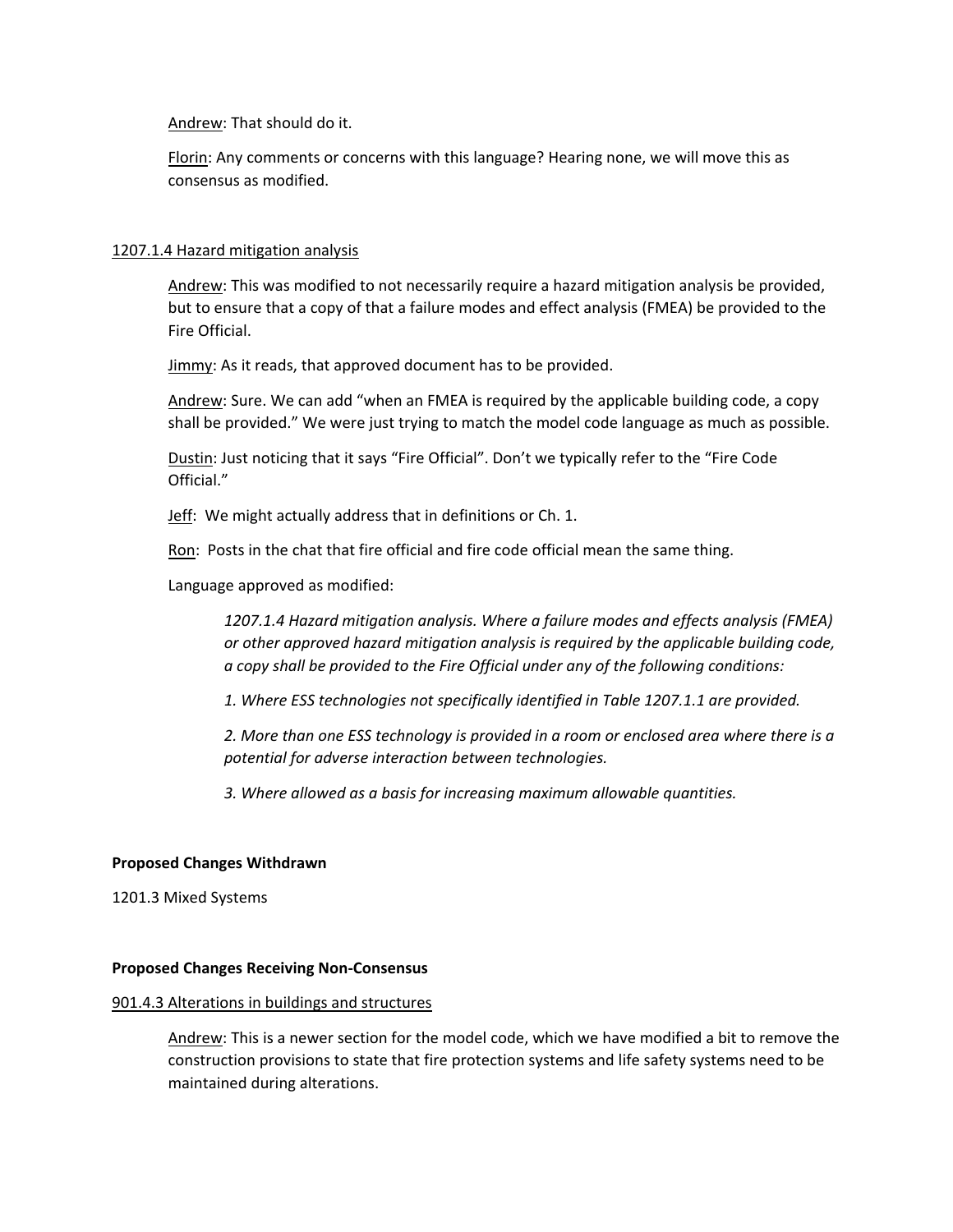Andrew: That should do it.

Florin: Any comments or concerns with this language? Hearing none, we will move this as consensus as modified.

### 1207.1.4 Hazard mitigation analysis

Andrew: This was modified to not necessarily require a hazard mitigation analysis be provided, but to ensure that a copy of that a failure modes and effect analysis (FMEA) be provided to the Fire Official.

Jimmy: As it reads, that approved document has to be provided.

Andrew: Sure. We can add "when an FMEA is required by the applicable building code, a copy shall be provided." We were just trying to match the model code language as much as possible.

Dustin: Just noticing that it says "Fire Official". Don't we typically refer to the "Fire Code Official."

Jeff: We might actually address that in definitions or Ch. 1.

Ron: Posts in the chat that fire official and fire code official mean the same thing.

Language approved as modified:

*1207.1.4 Hazard mitigation analysis. Where a failure modes and effects analysis (FMEA) or other approved hazard mitigation analysis is required by the applicable building code, a copy shall be provided to the Fire Official under any of the following conditions:* 

*1. Where ESS technologies not specifically identified in Table 1207.1.1 are provided.* 

*2. More than one ESS technology is provided in a room or enclosed area where there is a potential for adverse interaction between technologies.* 

*3. Where allowed as a basis for increasing maximum allowable quantities.*

### **Proposed Changes Withdrawn**

1201.3 Mixed Systems

### **Proposed Changes Receiving Non-Consensus**

### 901.4.3 Alterations in buildings and structures

Andrew: This is a newer section for the model code, which we have modified a bit to remove the construction provisions to state that fire protection systems and life safety systems need to be maintained during alterations.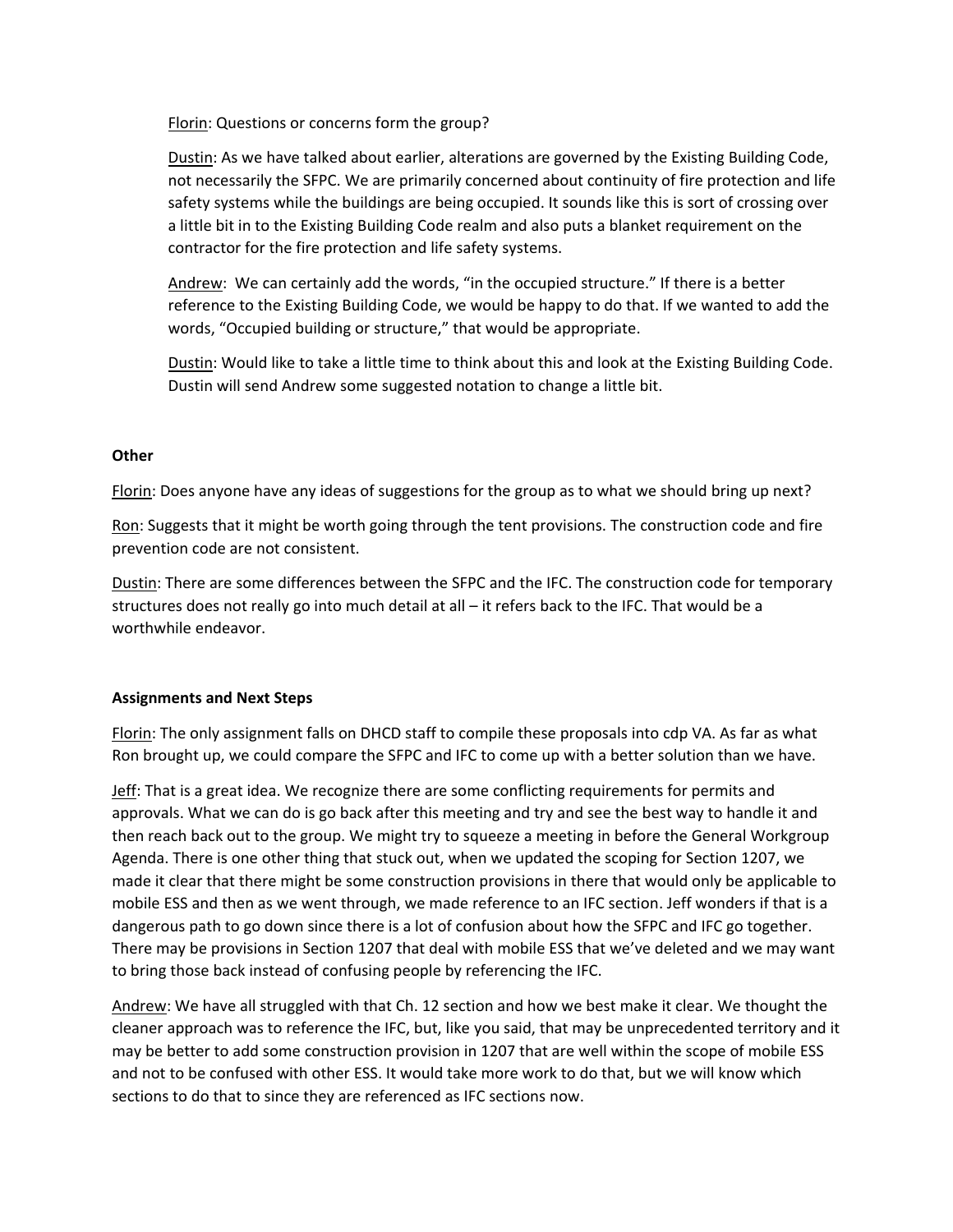Florin: Questions or concerns form the group?

Dustin: As we have talked about earlier, alterations are governed by the Existing Building Code, not necessarily the SFPC. We are primarily concerned about continuity of fire protection and life safety systems while the buildings are being occupied. It sounds like this is sort of crossing over a little bit in to the Existing Building Code realm and also puts a blanket requirement on the contractor for the fire protection and life safety systems.

Andrew: We can certainly add the words, "in the occupied structure." If there is a better reference to the Existing Building Code, we would be happy to do that. If we wanted to add the words, "Occupied building or structure," that would be appropriate.

Dustin: Would like to take a little time to think about this and look at the Existing Building Code. Dustin will send Andrew some suggested notation to change a little bit.

### **Other**

Florin: Does anyone have any ideas of suggestions for the group as to what we should bring up next?

Ron: Suggests that it might be worth going through the tent provisions. The construction code and fire prevention code are not consistent.

Dustin: There are some differences between the SFPC and the IFC. The construction code for temporary structures does not really go into much detail at all – it refers back to the IFC. That would be a worthwhile endeavor.

## **Assignments and Next Steps**

Florin: The only assignment falls on DHCD staff to compile these proposals into cdp VA. As far as what Ron brought up, we could compare the SFPC and IFC to come up with a better solution than we have.

Jeff: That is a great idea. We recognize there are some conflicting requirements for permits and approvals. What we can do is go back after this meeting and try and see the best way to handle it and then reach back out to the group. We might try to squeeze a meeting in before the General Workgroup Agenda. There is one other thing that stuck out, when we updated the scoping for Section 1207, we made it clear that there might be some construction provisions in there that would only be applicable to mobile ESS and then as we went through, we made reference to an IFC section. Jeff wonders if that is a dangerous path to go down since there is a lot of confusion about how the SFPC and IFC go together. There may be provisions in Section 1207 that deal with mobile ESS that we've deleted and we may want to bring those back instead of confusing people by referencing the IFC.

Andrew: We have all struggled with that Ch. 12 section and how we best make it clear. We thought the cleaner approach was to reference the IFC, but, like you said, that may be unprecedented territory and it may be better to add some construction provision in 1207 that are well within the scope of mobile ESS and not to be confused with other ESS. It would take more work to do that, but we will know which sections to do that to since they are referenced as IFC sections now.